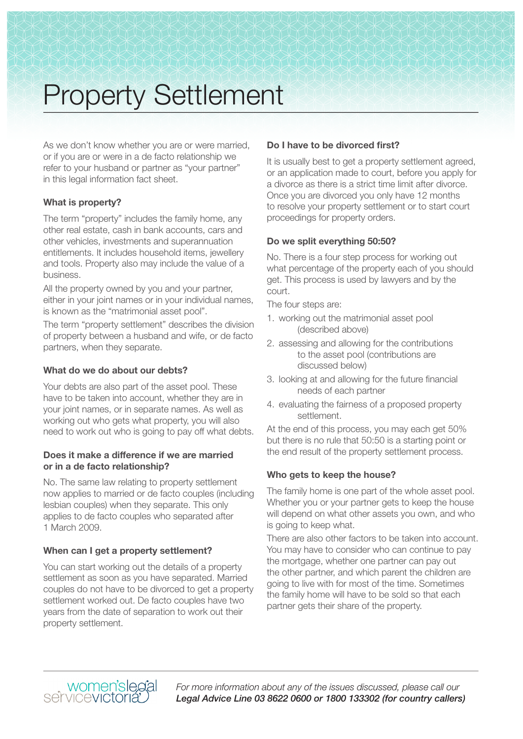# Property Settlement

As we don't know whether you are or were married, or if you are or were in a de facto relationship we refer to your husband or partner as "your partner" in this legal information fact sheet.

# **What is property?**

The term "property" includes the family home, any other real estate, cash in bank accounts, cars and other vehicles, investments and superannuation entitlements. It includes household items, jewellery and tools. Property also may include the value of a business.

All the property owned by you and your partner, either in your joint names or in your individual names, is known as the "matrimonial asset pool".

The term "property settlement" describes the division of property between a husband and wife, or de facto partners, when they separate.

# **What do we do about our debts?**

Your debts are also part of the asset pool. These have to be taken into account, whether they are in your joint names, or in separate names. As well as working out who gets what property, you will also need to work out who is going to pay off what debts.

# **Does it make a difference if we are married or in a de facto relationship?**

No. The same law relating to property settlement now applies to married or de facto couples (including lesbian couples) when they separate. This only applies to de facto couples who separated after 1 March 2009.

# **When can I get a property settlement?**

You can start working out the details of a property settlement as soon as you have separated. Married couples do not have to be divorced to get a property settlement worked out. De facto couples have two years from the date of separation to work out their property settlement.

# **Do I have to be divorced first?**

It is usually best to get a property settlement agreed, or an application made to court, before you apply for a divorce as there is a strict time limit after divorce. Once you are divorced you only have 12 months to resolve your property settlement or to start court proceedings for property orders.

# **Do we split everything 50:50?**

No. There is a four step process for working out what percentage of the property each of you should get. This process is used by lawyers and by the court.

The four steps are:

- 1. working out the matrimonial asset pool (described above)
- 2. assessing and allowing for the contributions to the asset pool (contributions are discussed below)
- 3. looking at and allowing for the future financial needs of each partner
- 4. evaluating the fairness of a proposed property settlement.

At the end of this process, you may each get 50% but there is no rule that 50:50 is a starting point or the end result of the property settlement process.

# **Who gets to keep the house?**

The family home is one part of the whole asset pool. Whether you or your partner gets to keep the house will depend on what other assets you own, and who is going to keep what.

There are also other factors to be taken into account. You may have to consider who can continue to pay the mortgage, whether one partner can pay out the other partner, and which parent the children are going to live with for most of the time. Sometimes the family home will have to be sold so that each partner gets their share of the property.



*For more information about any of the issues discussed, please call our Legal Advice Line 03 8622 0600 or 1800 133302 (for country callers)*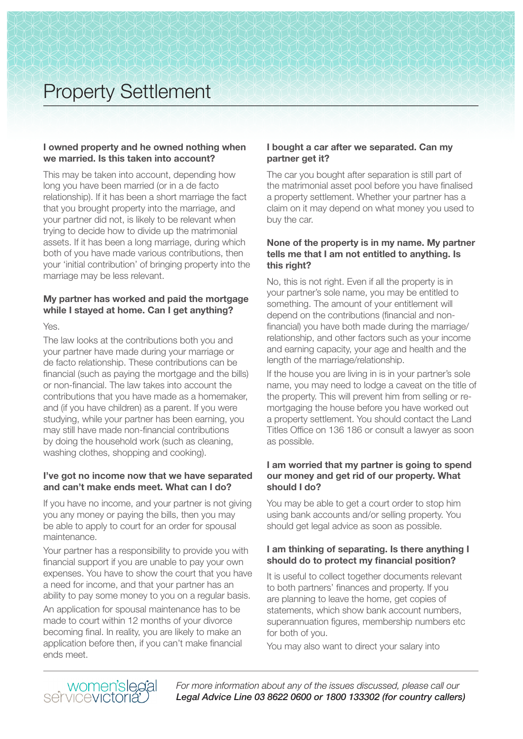# Property Settlement

## **I owned property and he owned nothing when we married. Is this taken into account?**

This may be taken into account, depending how long you have been married (or in a de facto relationship). If it has been a short marriage the fact that you brought property into the marriage, and your partner did not, is likely to be relevant when trying to decide how to divide up the matrimonial assets. If it has been a long marriage, during which both of you have made various contributions, then your 'initial contribution' of bringing property into the marriage may be less relevant.

# **My partner has worked and paid the mortgage while I stayed at home. Can I get anything?**

Yes.

The law looks at the contributions both you and your partner have made during your marriage or de facto relationship. These contributions can be financial (such as paying the mortgage and the bills) or non-financial. The law takes into account the contributions that you have made as a homemaker, and (if you have children) as a parent. If you were studying, while your partner has been earning, you may still have made non-financial contributions by doing the household work (such as cleaning, washing clothes, shopping and cooking).

## **I've got no income now that we have separated and can't make ends meet. What can I do?**

If you have no income, and your partner is not giving you any money or paying the bills, then you may be able to apply to court for an order for spousal maintenance.

Your partner has a responsibility to provide you with financial support if you are unable to pay your own expenses. You have to show the court that you have a need for income, and that your partner has an ability to pay some money to you on a regular basis.

An application for spousal maintenance has to be made to court within 12 months of your divorce becoming final. In reality, you are likely to make an application before then, if you can't make financial ends meet.

# **I bought a car after we separated. Can my partner get it?**

The car you bought after separation is still part of the matrimonial asset pool before you have finalised a property settlement. Whether your partner has a claim on it may depend on what money you used to buy the car.

## **None of the property is in my name. My partner tells me that I am not entitled to anything. Is this right?**

No, this is not right. Even if all the property is in your partner's sole name, you may be entitled to something. The amount of your entitlement will depend on the contributions (financial and nonfinancial) you have both made during the marriage/ relationship, and other factors such as your income and earning capacity, your age and health and the length of the marriage/relationship.

If the house you are living in is in your partner's sole name, you may need to lodge a caveat on the title of the property. This will prevent him from selling or remortgaging the house before you have worked out a property settlement. You should contact the Land Titles Office on 136 186 or consult a lawyer as soon as possible.

# **I am worried that my partner is going to spend our money and get rid of our property. What should I do?**

You may be able to get a court order to stop him using bank accounts and/or selling property. You should get legal advice as soon as possible.

# **I am thinking of separating. Is there anything I should do to protect my financial position?**

It is useful to collect together documents relevant to both partners' finances and property. If you are planning to leave the home, get copies of statements, which show bank account numbers, superannuation figures, membership numbers etc for both of you.

You may also want to direct your salary into

women'slegal<br>servicevictoria

*For more information about any of the issues discussed, please call our Legal Advice Line 03 8622 0600 or 1800 133302 (for country callers)*